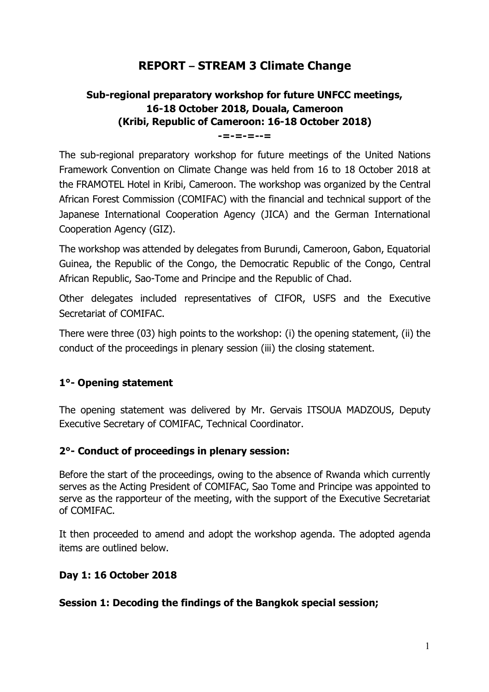# **REPORT – STREAM 3 Climate Change**

# **Sub-regional preparatory workshop for future UNFCC meetings, 16-18 October 2018, Douala, Cameroon (Kribi, Republic of Cameroon: 16-18 October 2018)**

**-=-=-=--=**

The sub-regional preparatory workshop for future meetings of the United Nations Framework Convention on Climate Change was held from 16 to 18 October 2018 at the FRAMOTEL Hotel in Kribi, Cameroon. The workshop was organized by the Central African Forest Commission (COMIFAC) with the financial and technical support of the Japanese International Cooperation Agency (JICA) and the German International Cooperation Agency (GIZ).

The workshop was attended by delegates from Burundi, Cameroon, Gabon, Equatorial Guinea, the Republic of the Congo, the Democratic Republic of the Congo, Central African Republic, Sao-Tome and Principe and the Republic of Chad.

Other delegates included representatives of CIFOR, USFS and the Executive Secretariat of COMIFAC.

There were three (03) high points to the workshop: (i) the opening statement, (ii) the conduct of the proceedings in plenary session (iii) the closing statement.

#### **1°- Opening statement**

The opening statement was delivered by Mr. Gervais ITSOUA MADZOUS, Deputy Executive Secretary of COMIFAC, Technical Coordinator.

#### **2°- Conduct of proceedings in plenary session:**

Before the start of the proceedings, owing to the absence of Rwanda which currently serves as the Acting President of COMIFAC, Sao Tome and Principe was appointed to serve as the rapporteur of the meeting, with the support of the Executive Secretariat of COMIFAC.

It then proceeded to amend and adopt the workshop agenda. The adopted agenda items are outlined below.

#### **Day 1: 16 October 2018**

#### **Session 1: Decoding the findings of the Bangkok special session;**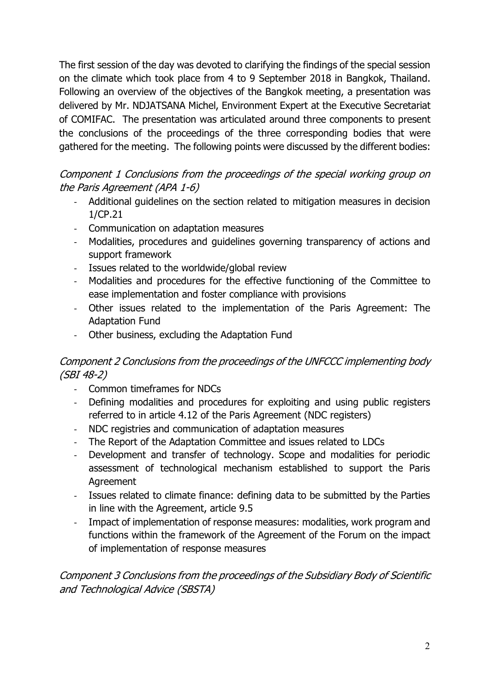The first session of the day was devoted to clarifying the findings of the special session on the climate which took place from 4 to 9 September 2018 in Bangkok, Thailand. Following an overview of the objectives of the Bangkok meeting, a presentation was delivered by Mr. NDJATSANA Michel, Environment Expert at the Executive Secretariat of COMIFAC. The presentation was articulated around three components to present the conclusions of the proceedings of the three corresponding bodies that were gathered for the meeting. The following points were discussed by the different bodies:

# Component 1 Conclusions from the proceedings of the special working group on the Paris Agreement (APA 1-6)

- Additional guidelines on the section related to mitigation measures in decision 1/CP.21
- Communication on adaptation measures
- Modalities, procedures and guidelines governing transparency of actions and support framework
- Issues related to the worldwide/global review
- Modalities and procedures for the effective functioning of the Committee to ease implementation and foster compliance with provisions
- Other issues related to the implementation of the Paris Agreement: The Adaptation Fund
- Other business, excluding the Adaptation Fund

# Component 2 Conclusions from the proceedings of the UNFCCC implementing body (SBI 48-2)

- Common timeframes for NDCs
- Defining modalities and procedures for exploiting and using public registers referred to in article 4.12 of the Paris Agreement (NDC registers)
- NDC registries and communication of adaptation measures
- The Report of the Adaptation Committee and issues related to LDCs
- Development and transfer of technology. Scope and modalities for periodic assessment of technological mechanism established to support the Paris Agreement
- Issues related to climate finance: defining data to be submitted by the Parties in line with the Agreement, article 9.5
- Impact of implementation of response measures: modalities, work program and functions within the framework of the Agreement of the Forum on the impact of implementation of response measures

## Component 3 Conclusions from the proceedings of the Subsidiary Body of Scientific and Technological Advice (SBSTA)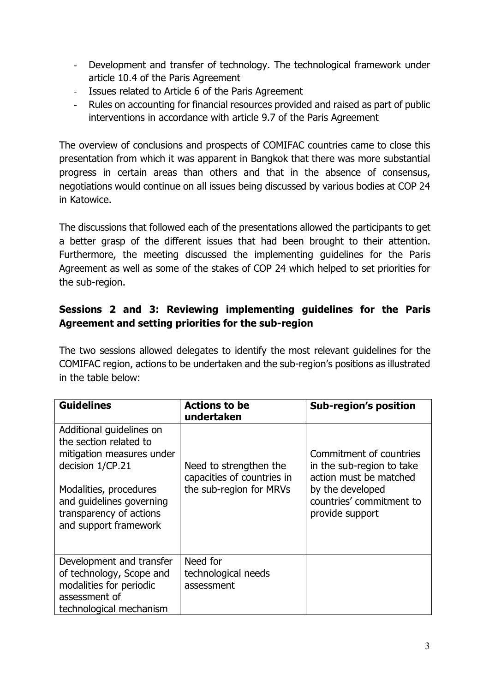- Development and transfer of technology. The technological framework under article 10.4 of the Paris Agreement
- Issues related to Article 6 of the Paris Agreement
- Rules on accounting for financial resources provided and raised as part of public interventions in accordance with article 9.7 of the Paris Agreement

The overview of conclusions and prospects of COMIFAC countries came to close this presentation from which it was apparent in Bangkok that there was more substantial progress in certain areas than others and that in the absence of consensus, negotiations would continue on all issues being discussed by various bodies at COP 24 in Katowice.

The discussions that followed each of the presentations allowed the participants to get a better grasp of the different issues that had been brought to their attention. Furthermore, the meeting discussed the implementing guidelines for the Paris Agreement as well as some of the stakes of COP 24 which helped to set priorities for the sub-region.

### **Sessions 2 and 3: Reviewing implementing guidelines for the Paris Agreement and setting priorities for the sub-region**

The two sessions allowed delegates to identify the most relevant guidelines for the COMIFAC region, actions to be undertaken and the sub-region's positions as illustrated in the table below:

| <b>Guidelines</b>                                                                                                                                                                                             | <b>Actions to be</b><br>undertaken                                              | <b>Sub-region's position</b>                                                                                                                      |
|---------------------------------------------------------------------------------------------------------------------------------------------------------------------------------------------------------------|---------------------------------------------------------------------------------|---------------------------------------------------------------------------------------------------------------------------------------------------|
| Additional guidelines on<br>the section related to<br>mitigation measures under<br>decision 1/CP.21<br>Modalities, procedures<br>and guidelines governing<br>transparency of actions<br>and support framework | Need to strengthen the<br>capacities of countries in<br>the sub-region for MRVs | Commitment of countries<br>in the sub-region to take<br>action must be matched<br>by the developed<br>countries' commitment to<br>provide support |
| Development and transfer<br>of technology, Scope and<br>modalities for periodic<br>assessment of<br>technological mechanism                                                                                   | Need for<br>technological needs<br>assessment                                   |                                                                                                                                                   |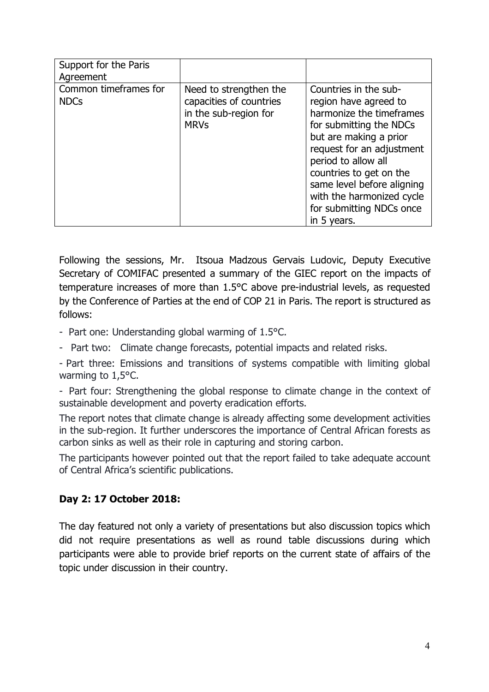| Support for the Paris<br>Agreement   |                                                                                           |                                                                                                                                                                                                                                                                                                                      |
|--------------------------------------|-------------------------------------------------------------------------------------------|----------------------------------------------------------------------------------------------------------------------------------------------------------------------------------------------------------------------------------------------------------------------------------------------------------------------|
| Common timeframes for<br><b>NDCs</b> | Need to strengthen the<br>capacities of countries<br>in the sub-region for<br><b>MRVs</b> | Countries in the sub-<br>region have agreed to<br>harmonize the timeframes<br>for submitting the NDCs<br>but are making a prior<br>request for an adjustment<br>period to allow all<br>countries to get on the<br>same level before aligning<br>with the harmonized cycle<br>for submitting NDCs once<br>in 5 years. |

Following the sessions, Mr. Itsoua Madzous Gervais Ludovic, Deputy Executive Secretary of COMIFAC presented a summary of the GIEC report on the impacts of temperature increases of more than 1.5°C above pre-industrial levels, as requested by the Conference of Parties at the end of COP 21 in Paris. The report is structured as follows:

- Part one: Understanding global warming of 1.5°C.

- Part two: Climate change forecasts, potential impacts and related risks.

- Part three: Emissions and transitions of systems compatible with limiting global warming to 1,5°C.

- Part four: Strengthening the global response to climate change in the context of sustainable development and poverty eradication efforts.

The report notes that climate change is already affecting some development activities in the sub-region. It further underscores the importance of Central African forests as carbon sinks as well as their role in capturing and storing carbon.

The participants however pointed out that the report failed to take adequate account of Central Africa's scientific publications.

#### **Day 2: 17 October 2018:**

The day featured not only a variety of presentations but also discussion topics which did not require presentations as well as round table discussions during which participants were able to provide brief reports on the current state of affairs of the topic under discussion in their country.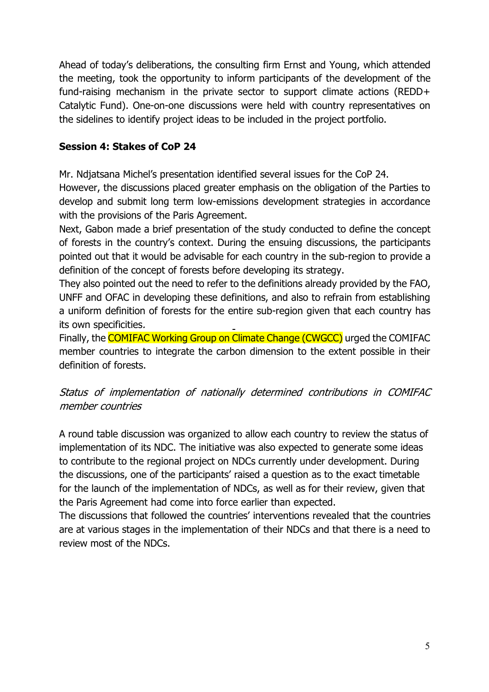Ahead of today's deliberations, the consulting firm Ernst and Young, which attended the meeting, took the opportunity to inform participants of the development of the fund-raising mechanism in the private sector to support climate actions (REDD+ Catalytic Fund). One-on-one discussions were held with country representatives on the sidelines to identify project ideas to be included in the project portfolio.

### **Session 4: Stakes of CoP 24**

Mr. Ndjatsana Michel's presentation identified several issues for the CoP 24.

However, the discussions placed greater emphasis on the obligation of the Parties to develop and submit long term low-emissions development strategies in accordance with the provisions of the Paris Agreement.

Next, Gabon made a brief presentation of the study conducted to define the concept of forests in the country's context. During the ensuing discussions, the participants pointed out that it would be advisable for each country in the sub-region to provide a definition of the concept of forests before developing its strategy.

They also pointed out the need to refer to the definitions already provided by the FAO, UNFF and OFAC in developing these definitions, and also to refrain from establishing a uniform definition of forests for the entire sub-region given that each country has its own specificities.

Finally, the COMIFAC Working Group on Climate Change (CWGCC) urged the COMIFAC member countries to integrate the carbon dimension to the extent possible in their definition of forests.

## Status of implementation of nationally determined contributions in COMIFAC member countries

A round table discussion was organized to allow each country to review the status of implementation of its NDC. The initiative was also expected to generate some ideas to contribute to the regional project on NDCs currently under development. During the discussions, one of the participants' raised a question as to the exact timetable for the launch of the implementation of NDCs, as well as for their review, given that the Paris Agreement had come into force earlier than expected.

The discussions that followed the countries' interventions revealed that the countries are at various stages in the implementation of their NDCs and that there is a need to review most of the NDCs.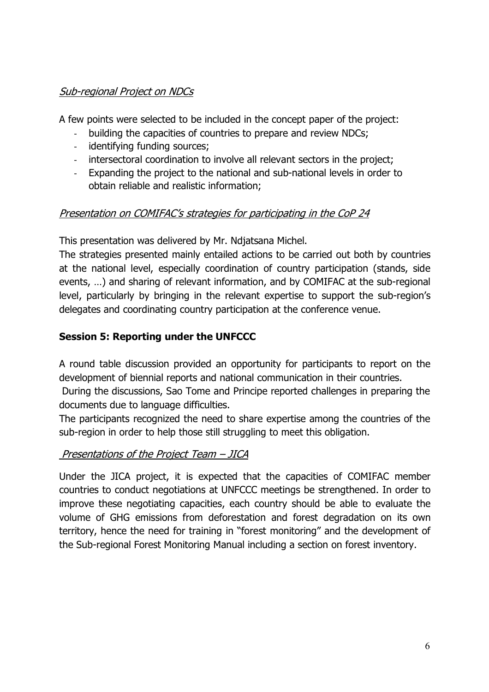# Sub-regional Project on NDCs

A few points were selected to be included in the concept paper of the project:

- building the capacities of countries to prepare and review NDCs;
- identifying funding sources;
- intersectoral coordination to involve all relevant sectors in the project;
- Expanding the project to the national and sub-national levels in order to obtain reliable and realistic information;

### Presentation on COMIFAC's strategies for participating in the CoP 24

This presentation was delivered by Mr. Ndjatsana Michel.

The strategies presented mainly entailed actions to be carried out both by countries at the national level, especially coordination of country participation (stands, side events, …) and sharing of relevant information, and by COMIFAC at the sub-regional level, particularly by bringing in the relevant expertise to support the sub-region's delegates and coordinating country participation at the conference venue.

### **Session 5: Reporting under the UNFCCC**

A round table discussion provided an opportunity for participants to report on the development of biennial reports and national communication in their countries.

During the discussions, Sao Tome and Principe reported challenges in preparing the documents due to language difficulties.

The participants recognized the need to share expertise among the countries of the sub-region in order to help those still struggling to meet this obligation.

#### Presentations of the Project Team - JICA

Under the JICA project, it is expected that the capacities of COMIFAC member countries to conduct negotiations at UNFCCC meetings be strengthened. In order to improve these negotiating capacities, each country should be able to evaluate the volume of GHG emissions from deforestation and forest degradation on its own territory, hence the need for training in "forest monitoring" and the development of the Sub-regional Forest Monitoring Manual including a section on forest inventory.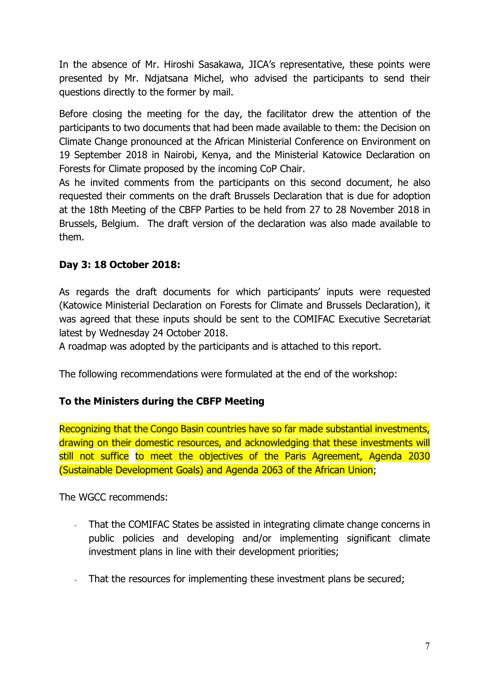In the absence of Mr. Hiroshi Sasakawa, JICA's representative, these points were presented by Mr. Ndjatsana Michel, who advised the participants to send their questions directly to the former by mail.

Before closing the meeting for the day, the facilitator drew the attention of the participants to two documents that had been made available to them: the Decision on Climate Change pronounced at the African Ministerial Conference on Environment on 19 September 2018 in Nairobi, Kenya, and the Ministerial Katowice Declaration on Forests for Climate proposed by the incoming CoP Chair.

As he invited comments from the participants on this second document, he also requested their comments on the draft Brussels Declaration that is due for adoption at the 18th Meeting of the CBFP Parties to be held from 27 to 28 November 2018 in Brussels, Belgium. The draft version of the declaration was also made available to them.

## **Day 3: 18 October 2018:**

As regards the draft documents for which participants' inputs were requested (Katowice Ministerial Declaration on Forests for Climate and Brussels Declaration), it was agreed that these inputs should be sent to the COMIFAC Executive Secretariat latest by Wednesday 24 October 2018.

A roadmap was adopted by the participants and is attached to this report.

The following recommendations were formulated at the end of the workshop:

#### **To the Ministers during the CBFP Meeting**

Recognizing that the Congo Basin countries have so far made substantial investments, drawing on their domestic resources, and acknowledging that these investments will still not suffice to meet the objectives of the Paris Agreement, Agenda 2030 (Sustainable Development Goals) and Agenda 2063 of the African Union;

The WGCC recommends:

- That the COMIFAC States be assisted in integrating climate change concerns in public policies and developing and/or implementing significant climate investment plans in line with their development priorities;
- That the resources for implementing these investment plans be secured;